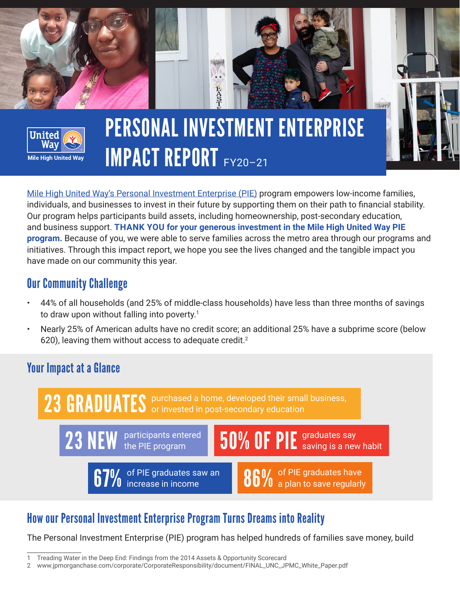

[Mile High United Way's Personal Investment Enterprise \(PIE\)](https://unitedwaydenver.org/personal-investment-enterprise-pie-program/?utm_medium=pdf&utm_source=impact-report&utm_campaign=2020-21-impact-report&utm_content=pie-learn-more) program empowers low-income families, individuals, and businesses to invest in their future by supporting them on their path to financial stability. Our program helps participants build assets, including homeownership, post-secondary education, and business support. **THANK YOU for your generous investment in the Mile High United Way PIE program.** Because of you, we were able to serve families across the metro area through our programs and initiatives. Through this impact report, we hope you see the lives changed and the tangible impact you have made on our community this year.

### Our Community Challenge

- 44% of all households (and 25% of middle-class households) have less than three months of savings to draw upon without falling into poverty.<sup>1</sup>
- Nearly 25% of American adults have no credit score; an additional 25% have a subprime score (below 620), leaving them without access to adequate credit. $2$

## Your Impact at a Glance



23 NEW participants entered **67%** of PIE graduates saw an <br>**67%** increase in income 50% OF PIE graduates say saving is a new habit 86% of PIE graduates have<br>88% a plan to save regularly

# How our Personal Investment Enterprise Program Turns Dreams into Reality

The Personal Investment Enterprise (PIE) program has helped hundreds of families save money, build

<sup>1</sup> Treading Water in the Deep End: Findings from the 2014 Assets & Opportunity Scorecard

<sup>2</sup> www.jpmorganchase.com/corporate/CorporateResponsibility/document/FINAL\_UNC\_JPMC\_White\_Paper.pdf